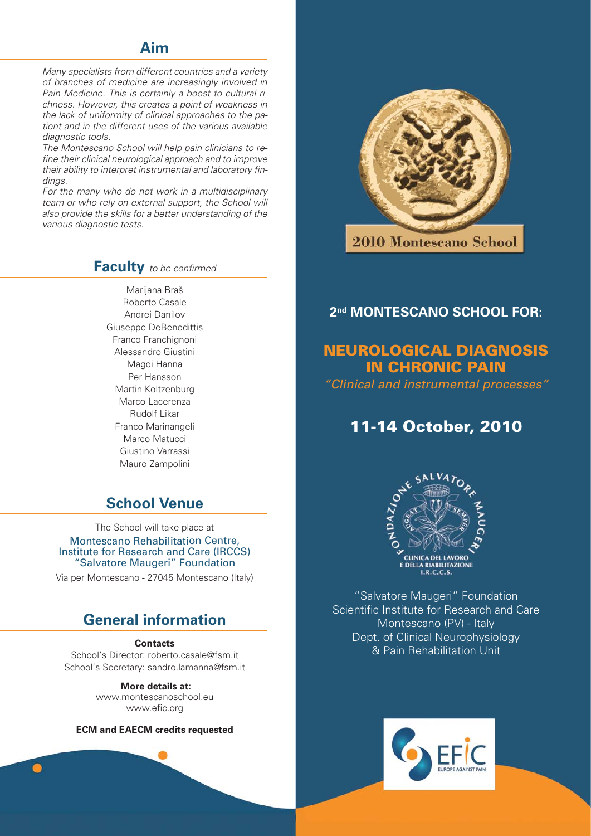# **Aim**

Many specialists from different countries and a variety of branches of medicine are increasingly involved in Pain Medicine. This is certainly a boost to cultural richness. However, this creates a point of weakness in the lack of uniformity of clinical approaches to the patient and in the different uses of the various available diagnostic tools.

The Montescano School will help pain clinicians to refine their clinical neurological approach and to improve their ability to interpret instrumental and laboratory findings.

For the many who do not work in a multidisciplinary team or who rely on external support, the School will also provide the skills for a better understanding of the various diagnostic tests.

# **Faculty** to be confirmed

Marijana Braš Roberto Casale Andrei Danilov Giuseppe DeBenedittis Franco Franchignoni Alessandro Giustini Magdi Hanna Per Hansson Martin Koltzenburg Marco Lacerenza Rudolf Likar Franco Marinangeli Marco Matucci Giustino Varrassi Mauro Zampolini

# **School Venue**

The School will take place at Montescano Rehabilitation Centre, Institute for Research and Care (IRCCS) "Salvatore Maugeri" Foundation

Via per Montescano - 27045 Montescano (Italy)

# **General information**

#### **Contacts**

School's Director: roberto.casale@fsm.it School's Secretary: sandro.lamanna@fsm.it

> **More details at:**  www.montescanoschool.eu www.efic.org

**ECM and EAECM credits requested**



2010 Montescano School

# **2nd MONTESCANO SCHOOL FOR:**

# **NEUROLOGICAL DIAGNOSIS IN CHRONIC PAIN**

"Clinical and instrumental processes"

# **11-14 October, 2010**



"Salvatore Maugeri" Foundation Scientific Institute for Research and Care Montescano (PV) - Italy Dept. of Clinical Neurophysiology & Pain Rehabilitation Unit